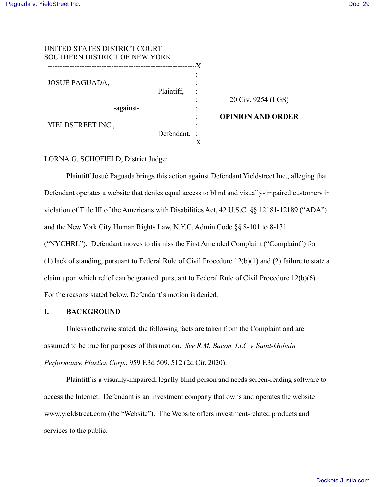| UNITED STATES DISTRICT COURT  |              |                          |
|-------------------------------|--------------|--------------------------|
| SOUTHERN DISTRICT OF NEW YORK |              |                          |
|                               |              |                          |
| JOSUÉ PAGUADA,                |              |                          |
|                               |              |                          |
|                               | Plaintiff,   |                          |
|                               |              | 20 Civ. 9254 (LGS)       |
| -against-                     |              |                          |
| YIELDSTREET INC.,             |              | <b>OPINION AND ORDER</b> |
|                               |              |                          |
|                               | Defendant. : |                          |
|                               |              |                          |
|                               |              |                          |

LORNA G. SCHOFIELD, District Judge:

Plaintiff Josué Paguada brings this action against Defendant Yieldstreet Inc., alleging that Defendant operates a website that denies equal access to blind and visually-impaired customers in violation of Title III of the Americans with Disabilities Act, 42 U.S.C. §§ 12181-12189 ("ADA") and the New York City Human Rights Law, N.Y.C. Admin Code §§ 8-101 to 8-131 ("NYCHRL"). Defendant moves to dismiss the First Amended Complaint ("Complaint") for (1) lack of standing, pursuant to Federal Rule of Civil Procedure 12(b)(1) and (2) failure to state a claim upon which relief can be granted, pursuant to Federal Rule of Civil Procedure 12(b)(6). For the reasons stated below, Defendant's motion is denied.

## **I. BACKGROUND**

Unless otherwise stated, the following facts are taken from the Complaint and are assumed to be true for purposes of this motion. *See R.M. Bacon, LLC v. Saint-Gobain Performance Plastics Corp.*, 959 F.3d 509, 512 (2d Cir. 2020).

Plaintiff is a visually-impaired, legally blind person and needs screen-reading software to access the Internet. Defendant is an investment company that owns and operates the website www.yieldstreet.com (the "Website"). The Website offers investment-related products and services to the public.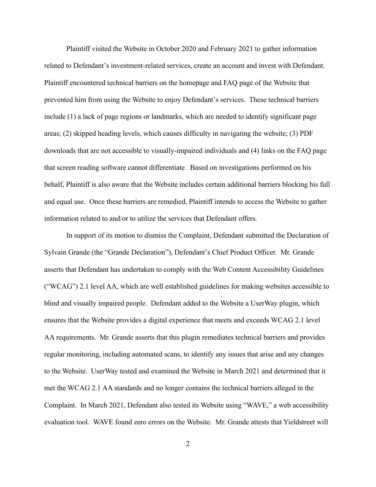Plaintiff visited the Website in October 2020 and February 2021 to gather information related to Defendant's investment-related services, create an account and invest with Defendant. Plaintiff encountered technical barriers on the homepage and FAQ page of the Website that prevented him from using the Website to enjoy Defendant's services. These technical barriers include (1) a lack of page regions or landmarks, which are needed to identify significant page areas; (2) skipped heading levels, which causes difficulty in navigating the website; (3) PDF downloads that are not accessible to visually-impaired individuals and (4) links on the FAQ page that screen reading software cannot differentiate. Based on investigations performed on his behalf, Plaintiff is also aware that the Website includes certain additional barriers blocking his full and equal use. Once these barriers are remedied, Plaintiff intends to access the Website to gather information related to and/or to utilize the services that Defendant offers.

In support of its motion to dismiss the Complaint, Defendant submitted the Declaration of Sylvain Grande (the "Grande Declaration"), Defendant's Chief Product Officer. Mr. Grande asserts that Defendant has undertaken to comply with the Web Content Accessibility Guidelines ("WCAG") 2.1 level AA, which are well established guidelines for making websites accessible to blind and visually impaired people. Defendant added to the Website a UserWay plugin, which ensures that the Website provides a digital experience that meets and exceeds WCAG 2.1 level AA requirements. Mr. Grande asserts that this plugin remediates technical barriers and provides regular monitoring, including automated scans, to identify any issues that arise and any changes to the Website. UserWay tested and examined the Website in March 2021 and determined that it met the WCAG 2.1 AA standards and no longer contains the technical barriers alleged in the Complaint. In March 2021, Defendant also tested its Website using "WAVE," a web accessibility evaluation tool. WAVE found zero errors on the Website. Mr. Grande attests that Yieldstreet will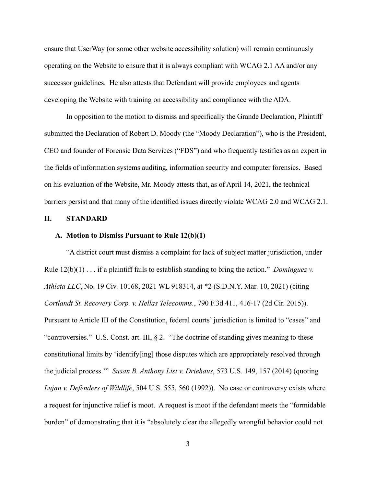ensure that UserWay (or some other website accessibility solution) will remain continuously operating on the Website to ensure that it is always compliant with WCAG 2.1 AA and/or any successor guidelines. He also attests that Defendant will provide employees and agents developing the Website with training on accessibility and compliance with the ADA.

In opposition to the motion to dismiss and specifically the Grande Declaration, Plaintiff submitted the Declaration of Robert D. Moody (the "Moody Declaration"), who is the President, CEO and founder of Forensic Data Services ("FDS") and who frequently testifies as an expert in the fields of information systems auditing, information security and computer forensics. Based on his evaluation of the Website, Mr. Moody attests that, as of April 14, 2021, the technical barriers persist and that many of the identified issues directly violate WCAG 2.0 and WCAG 2.1.

## **II. STANDARD**

## **A. Motion to Dismiss Pursuant to Rule 12(b)(1)**

"A district court must dismiss a complaint for lack of subject matter jurisdiction, under Rule 12(b)(1) . . . if a plaintiff fails to establish standing to bring the action." *Dominguez v. Athleta LLC*, No. 19 Civ. 10168, 2021 WL 918314, at \*2 (S.D.N.Y. Mar. 10, 2021) (citing *Cortlandt St. Recovery Corp. v. Hellas Telecomms.*, 790 F.3d 411, 416-17 (2d Cir. 2015)). Pursuant to Article III of the Constitution, federal courts' jurisdiction is limited to "cases" and "controversies." U.S. Const. art. III, § 2. "The doctrine of standing gives meaning to these constitutional limits by 'identify[ing] those disputes which are appropriately resolved through the judicial process.'" *Susan B. Anthony List v. Driehaus*, 573 U.S. 149, 157 (2014) (quoting *Lujan v. Defenders of Wildlife*, 504 U.S. 555, 560 (1992)). No case or controversy exists where a request for injunctive relief is moot. A request is moot if the defendant meets the "formidable burden" of demonstrating that it is "absolutely clear the allegedly wrongful behavior could not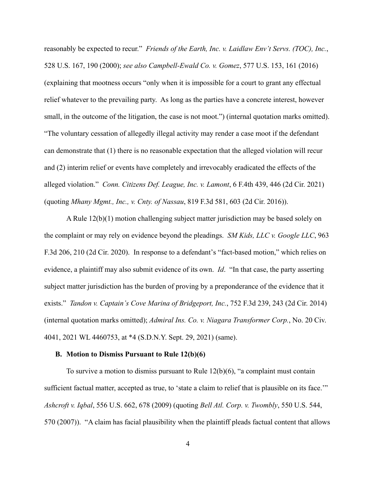reasonably be expected to recur." *Friends of the Earth, Inc. v. Laidlaw Env't Servs. (TOC), Inc.*, 528 U.S. 167, 190 (2000); *see also Campbell-Ewald Co. v. Gomez*, 577 U.S. 153, 161 (2016) (explaining that mootness occurs "only when it is impossible for a court to grant any effectual relief whatever to the prevailing party. As long as the parties have a concrete interest, however small, in the outcome of the litigation, the case is not moot.") (internal quotation marks omitted). "The voluntary cessation of allegedly illegal activity may render a case moot if the defendant can demonstrate that (1) there is no reasonable expectation that the alleged violation will recur and (2) interim relief or events have completely and irrevocably eradicated the effects of the alleged violation." *Conn. Citizens Def. League, Inc. v. Lamont*, 6 F.4th 439, 446 (2d Cir. 2021) (quoting *Mhany Mgmt., Inc., v. Cnty. of Nassau*, 819 F.3d 581, 603 (2d Cir. 2016)).

A Rule 12(b)(1) motion challenging subject matter jurisdiction may be based solely on the complaint or may rely on evidence beyond the pleadings. *SM Kids, LLC v. Google LLC*, 963 F.3d 206, 210 (2d Cir. 2020). In response to a defendant's "fact-based motion," which relies on evidence, a plaintiff may also submit evidence of its own. *Id*. "In that case, the party asserting subject matter jurisdiction has the burden of proving by a preponderance of the evidence that it exists." *Tandon v. Captain's Cove Marina of Bridgeport, Inc.*, 752 F.3d 239, 243 (2d Cir. 2014) (internal quotation marks omitted); *Admiral Ins. Co. v. Niagara Transformer Corp.*, No. 20 Civ. 4041, 2021 WL 4460753, at \*4 (S.D.N.Y. Sept. 29, 2021) (same).

#### **B. Motion to Dismiss Pursuant to Rule 12(b)(6)**

To survive a motion to dismiss pursuant to Rule  $12(b)(6)$ , "a complaint must contain sufficient factual matter, accepted as true, to 'state a claim to relief that is plausible on its face." *Ashcroft v. Iqbal*, 556 U.S. 662, 678 (2009) (quoting *Bell Atl. Corp. v. Twombly*, 550 U.S. 544, 570 (2007)). "A claim has facial plausibility when the plaintiff pleads factual content that allows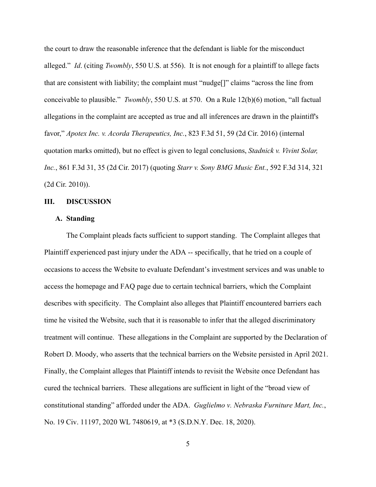the court to draw the reasonable inference that the defendant is liable for the misconduct alleged." *Id*. (citing *Twombly*, 550 U.S. at 556). It is not enough for a plaintiff to allege facts that are consistent with liability; the complaint must "nudge[]" claims "across the line from conceivable to plausible." *Twombly*, 550 U.S. at 570. On a Rule 12(b)(6) motion, "all factual allegations in the complaint are accepted as true and all inferences are drawn in the plaintiff's favor," *Apotex Inc. v. Acorda Therapeutics, Inc.*, 823 F.3d 51, 59 (2d Cir. 2016) (internal quotation marks omitted), but no effect is given to legal conclusions, *Stadnick v. Vivint Solar, Inc.*, 861 F.3d 31, 35 (2d Cir. 2017) (quoting *Starr v. Sony BMG Music Ent.*, 592 F.3d 314, 321 (2d Cir. 2010)).

#### **III. DISCUSSION**

## **A. Standing**

The Complaint pleads facts sufficient to support standing. The Complaint alleges that Plaintiff experienced past injury under the ADA -- specifically, that he tried on a couple of occasions to access the Website to evaluate Defendant's investment services and was unable to access the homepage and FAQ page due to certain technical barriers, which the Complaint describes with specificity. The Complaint also alleges that Plaintiff encountered barriers each time he visited the Website, such that it is reasonable to infer that the alleged discriminatory treatment will continue. These allegations in the Complaint are supported by the Declaration of Robert D. Moody, who asserts that the technical barriers on the Website persisted in April 2021. Finally, the Complaint alleges that Plaintiff intends to revisit the Website once Defendant has cured the technical barriers. These allegations are sufficient in light of the "broad view of constitutional standing" afforded under the ADA. *Guglielmo v. Nebraska Furniture Mart, Inc.*, No. 19 Civ. 11197, 2020 WL 7480619, at \*3 (S.D.N.Y. Dec. 18, 2020).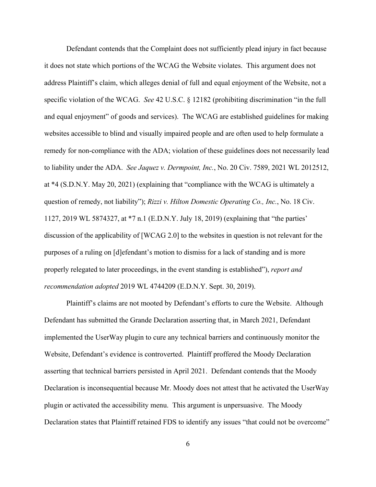Defendant contends that the Complaint does not sufficiently plead injury in fact because it does not state which portions of the WCAG the Website violates. This argument does not address Plaintiff's claim, which alleges denial of full and equal enjoyment of the Website, not a specific violation of the WCAG. *See* 42 U.S.C. § 12182 (prohibiting discrimination "in the full and equal enjoyment" of goods and services). The WCAG are established guidelines for making websites accessible to blind and visually impaired people and are often used to help formulate a remedy for non-compliance with the ADA; violation of these guidelines does not necessarily lead to liability under the ADA. *See Jaquez v. Dermpoint, Inc.*, No. 20 Civ. 7589, 2021 WL 2012512, at \*4 (S.D.N.Y. May 20, 2021) (explaining that "compliance with the WCAG is ultimately a question of remedy, not liability"); *Rizzi v. Hilton Domestic Operating Co., Inc.*, No. 18 Civ. 1127, 2019 WL 5874327, at \*7 n.1 (E.D.N.Y. July 18, 2019) (explaining that "the parties' discussion of the applicability of [WCAG 2.0] to the websites in question is not relevant for the purposes of a ruling on [d]efendant's motion to dismiss for a lack of standing and is more properly relegated to later proceedings, in the event standing is established"), *report and recommendation adopted* 2019 WL 4744209 (E.D.N.Y. Sept. 30, 2019).

Plaintiff's claims are not mooted by Defendant's efforts to cure the Website. Although Defendant has submitted the Grande Declaration asserting that, in March 2021, Defendant implemented the UserWay plugin to cure any technical barriers and continuously monitor the Website, Defendant's evidence is controverted. Plaintiff proffered the Moody Declaration asserting that technical barriers persisted in April 2021. Defendant contends that the Moody Declaration is inconsequential because Mr. Moody does not attest that he activated the UserWay plugin or activated the accessibility menu. This argument is unpersuasive. The Moody Declaration states that Plaintiff retained FDS to identify any issues "that could not be overcome"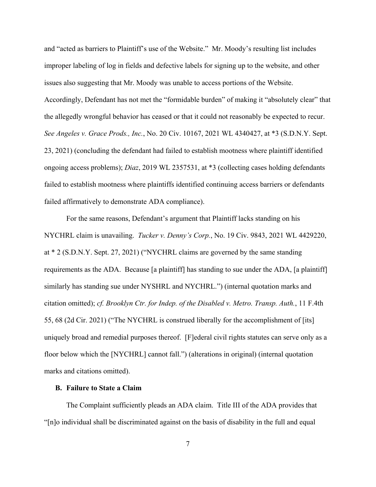and "acted as barriers to Plaintiff's use of the Website." Mr. Moody's resulting list includes improper labeling of log in fields and defective labels for signing up to the website, and other issues also suggesting that Mr. Moody was unable to access portions of the Website. Accordingly, Defendant has not met the "formidable burden" of making it "absolutely clear" that the allegedly wrongful behavior has ceased or that it could not reasonably be expected to recur. *See Angeles v. Grace Prods., Inc.*, No. 20 Civ. 10167, 2021 WL 4340427, at \*3 (S.D.N.Y. Sept. 23, 2021) (concluding the defendant had failed to establish mootness where plaintiff identified ongoing access problems); *Diaz*, 2019 WL 2357531, at \*3 (collecting cases holding defendants failed to establish mootness where plaintiffs identified continuing access barriers or defendants failed affirmatively to demonstrate ADA compliance).

For the same reasons, Defendant's argument that Plaintiff lacks standing on his NYCHRL claim is unavailing. *Tucker v. Denny's Corp.*, No. 19 Civ. 9843, 2021 WL 4429220, at \* 2 (S.D.N.Y. Sept. 27, 2021) ("NYCHRL claims are governed by the same standing requirements as the ADA. Because [a plaintiff] has standing to sue under the ADA, [a plaintiff] similarly has standing sue under NYSHRL and NYCHRL.") (internal quotation marks and citation omitted); *cf. Brooklyn Ctr. for Indep. of the Disabled v. Metro. Transp. Auth.*, 11 F.4th 55, 68 (2d Cir. 2021) ("The NYCHRL is construed liberally for the accomplishment of [its] uniquely broad and remedial purposes thereof. [F]ederal civil rights statutes can serve only as a floor below which the [NYCHRL] cannot fall.") (alterations in original) (internal quotation marks and citations omitted).

### **B. Failure to State a Claim**

The Complaint sufficiently pleads an ADA claim. Title III of the ADA provides that "[n]o individual shall be discriminated against on the basis of disability in the full and equal

7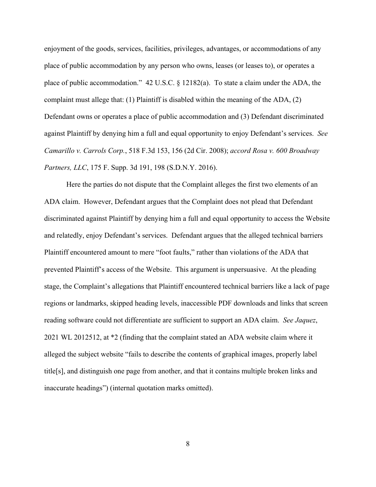enjoyment of the goods, services, facilities, privileges, advantages, or accommodations of any place of public accommodation by any person who owns, leases (or leases to), or operates a place of public accommodation." 42 U.S.C. § 12182(a). To state a claim under the ADA, the complaint must allege that: (1) Plaintiff is disabled within the meaning of the ADA, (2) Defendant owns or operates a place of public accommodation and (3) Defendant discriminated against Plaintiff by denying him a full and equal opportunity to enjoy Defendant's services. *See Camarillo v. Carrols Corp.*, 518 F.3d 153, 156 (2d Cir. 2008); *accord Rosa v. 600 Broadway Partners, LLC*, 175 F. Supp. 3d 191, 198 (S.D.N.Y. 2016).

Here the parties do not dispute that the Complaint alleges the first two elements of an ADA claim. However, Defendant argues that the Complaint does not plead that Defendant discriminated against Plaintiff by denying him a full and equal opportunity to access the Website and relatedly, enjoy Defendant's services. Defendant argues that the alleged technical barriers Plaintiff encountered amount to mere "foot faults," rather than violations of the ADA that prevented Plaintiff's access of the Website. This argument is unpersuasive. At the pleading stage, the Complaint's allegations that Plaintiff encountered technical barriers like a lack of page regions or landmarks, skipped heading levels, inaccessible PDF downloads and links that screen reading software could not differentiate are sufficient to support an ADA claim. *See Jaquez*, 2021 WL 2012512, at \*2 (finding that the complaint stated an ADA website claim where it alleged the subject website "fails to describe the contents of graphical images, properly label title[s], and distinguish one page from another, and that it contains multiple broken links and inaccurate headings") (internal quotation marks omitted).

8